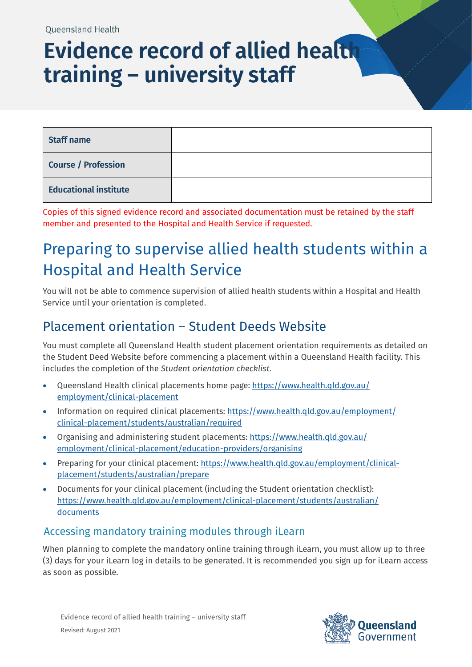# **Evidence record of allied health training – university staff**

| <b>Staff name</b>            |  |
|------------------------------|--|
| <b>Course / Profession</b>   |  |
| <b>Educational institute</b> |  |

Copies of this signed evidence record and associated documentation must be retained by the staff member and presented to the Hospital and Health Service if requested.

## Preparing to supervise allied health students within a Hospital and Health Service

You will not be able to commence supervision of allied health students within a Hospital and Health Service until your orientation is completed.

### Placement orientation – Student Deeds Website

You must complete all Queensland Health student placement orientation requirements as detailed on the Student Deed Website before commencing a placement within a Queensland Health facility. This includes the completion of the *Student orientation checklist*.

- Queensland Health clinical placements home page: [https://www.health.qld.gov.au/](https://www.health.qld.gov.au/employment/clinical-placement) [employment/clinical-placement](https://www.health.qld.gov.au/employment/clinical-placement)
- Information on required clinical placements[: https://www.health.qld.gov.au/employment/](https://www.health.qld.gov.au/employment/clinical-placement/students/australian/documents) [clinical-placement/students/australian/required](https://www.health.qld.gov.au/employment/clinical-placement/students/australian/documents)
- Organising and administering student placements: [https://www.health.qld.gov.au/](https://www.health.qld.gov.au/employment/clinical-placement/education-providers/organising) [employment/clinical-placement/education-providers/organising](https://www.health.qld.gov.au/employment/clinical-placement/education-providers/organising)
- Preparing for your clinical placement: [https://www.health.qld.gov.au/employment/clinical](https://www.health.qld.gov.au/employment/clinical-placement/students/australian/prepare)[placement/students/australian/prepare](https://www.health.qld.gov.au/employment/clinical-placement/students/australian/prepare)
- Documents for your clinical placement (including the Student orientation checklist): [https://www.health.qld.gov.au/employment/clinical-placement/students/australian/](https://www.health.qld.gov.au/employment/clinical-placement/students/australian/documents) [documents](https://www.health.qld.gov.au/employment/clinical-placement/students/australian/documents)

#### Accessing mandatory training modules through iLearn

When planning to complete the mandatory online training through iLearn, you must allow up to three (3) days for your iLearn log in details to be generated. It is recommended you sign up for iLearn access as soon as possible.

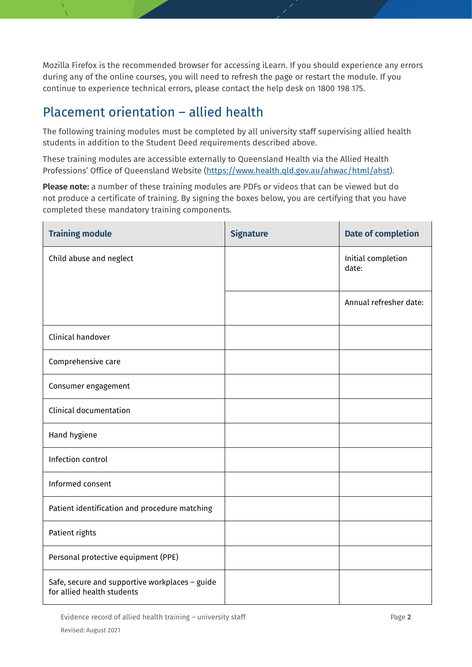Mozilla Firefox is the recommended browser for accessing iLearn. If you should experience any errors during any of the online courses, you will need to refresh the page or restart the module. If you continue to experience technical errors, please contact the help desk on 1800 198 175.

### Placement orientation – allied health

The following training modules must be completed by all university staff supervising allied health students in addition to the Student Deed requirements described above.

These training modules are accessible externally to Queensland Health via the Allied Health Professions' Office of Queensland Website [\(https://www.health.qld.gov.au/ahwac/html/ahst\)](https://www.health.qld.gov.au/ahwac/html/ahst).

**Please note:** a number of these training modules are PDFs or videos that can be viewed but do not produce a certificate of training. By signing the boxes below, you are certifying that you have completed these mandatory training components.

| <b>Training module</b>                                                       | <b>Signature</b> | <b>Date of completion</b>   |
|------------------------------------------------------------------------------|------------------|-----------------------------|
| Child abuse and neglect                                                      |                  | Initial completion<br>date: |
|                                                                              |                  | Annual refresher date:      |
| Clinical handover                                                            |                  |                             |
| Comprehensive care                                                           |                  |                             |
| Consumer engagement                                                          |                  |                             |
| <b>Clinical documentation</b>                                                |                  |                             |
| Hand hygiene                                                                 |                  |                             |
| Infection control                                                            |                  |                             |
| Informed consent                                                             |                  |                             |
| Patient identification and procedure matching                                |                  |                             |
| Patient rights                                                               |                  |                             |
| Personal protective equipment (PPE)                                          |                  |                             |
| Safe, secure and supportive workplaces - guide<br>for allied health students |                  |                             |